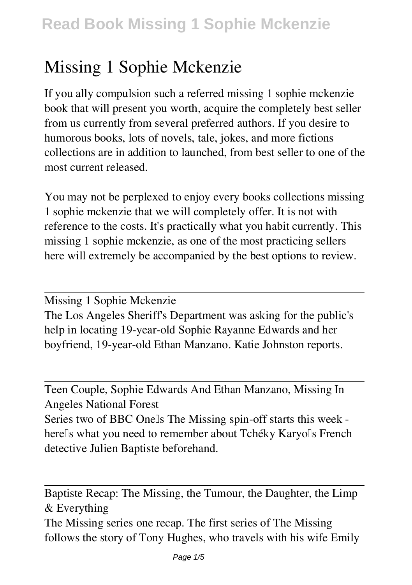## **Missing 1 Sophie Mckenzie**

If you ally compulsion such a referred **missing 1 sophie mckenzie** book that will present you worth, acquire the completely best seller from us currently from several preferred authors. If you desire to humorous books, lots of novels, tale, jokes, and more fictions collections are in addition to launched, from best seller to one of the most current released.

You may not be perplexed to enjoy every books collections missing 1 sophie mckenzie that we will completely offer. It is not with reference to the costs. It's practically what you habit currently. This missing 1 sophie mckenzie, as one of the most practicing sellers here will extremely be accompanied by the best options to review.

Missing 1 Sophie Mckenzie

The Los Angeles Sheriff's Department was asking for the public's help in locating 19-year-old Sophie Rayanne Edwards and her boyfriend, 19-year-old Ethan Manzano. Katie Johnston reports.

Teen Couple, Sophie Edwards And Ethan Manzano, Missing In Angeles National Forest Series two of BBC Onells The Missing spin-off starts this week herells what you need to remember about Tchéky Karyolls French detective Julien Baptiste beforehand.

Baptiste Recap: The Missing, the Tumour, the Daughter, the Limp & Everything The Missing series one recap. The first series of The Missing follows the story of Tony Hughes, who travels with his wife Emily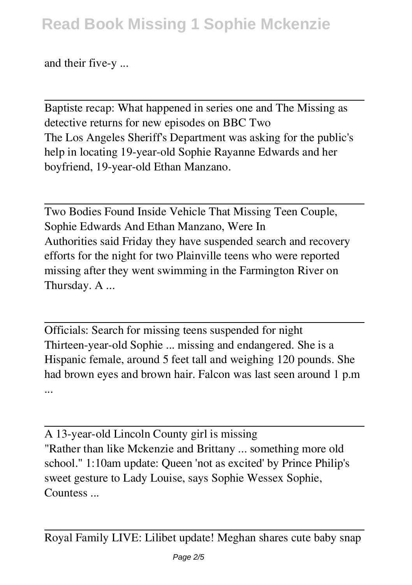and their five-y ...

Baptiste recap: What happened in series one and The Missing as detective returns for new episodes on BBC Two The Los Angeles Sheriff's Department was asking for the public's help in locating 19-year-old Sophie Rayanne Edwards and her boyfriend, 19-year-old Ethan Manzano.

Two Bodies Found Inside Vehicle That Missing Teen Couple, Sophie Edwards And Ethan Manzano, Were In Authorities said Friday they have suspended search and recovery efforts for the night for two Plainville teens who were reported missing after they went swimming in the Farmington River on Thursday. A ...

Officials: Search for missing teens suspended for night Thirteen-year-old Sophie ... missing and endangered. She is a Hispanic female, around 5 feet tall and weighing 120 pounds. She had brown eyes and brown hair. Falcon was last seen around 1 p.m ...

A 13-year-old Lincoln County girl is missing "Rather than like Mckenzie and Brittany ... something more old school." 1:10am update: Queen 'not as excited' by Prince Philip's sweet gesture to Lady Louise, says Sophie Wessex Sophie, Countess ...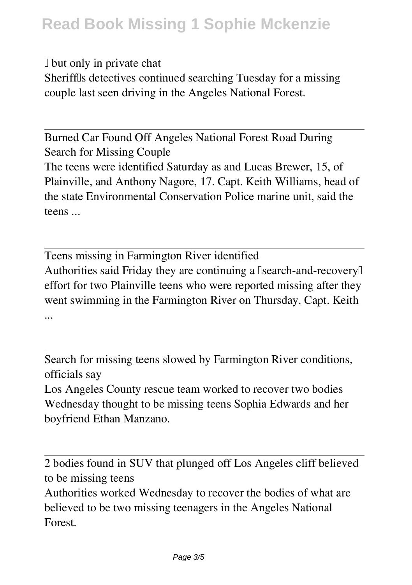$\Box$  but only in private chat

Sheriffls detectives continued searching Tuesday for a missing couple last seen driving in the Angeles National Forest.

Burned Car Found Off Angeles National Forest Road During Search for Missing Couple The teens were identified Saturday as and Lucas Brewer, 15, of Plainville, and Anthony Nagore, 17. Capt. Keith Williams, head of the state Environmental Conservation Police marine unit, said the teens ...

Teens missing in Farmington River identified Authorities said Friday they are continuing a  $\exists$ search-and-recovery $\exists$ effort for two Plainville teens who were reported missing after they went swimming in the Farmington River on Thursday. Capt. Keith ...

Search for missing teens slowed by Farmington River conditions, officials say

Los Angeles County rescue team worked to recover two bodies Wednesday thought to be missing teens Sophia Edwards and her boyfriend Ethan Manzano.

2 bodies found in SUV that plunged off Los Angeles cliff believed to be missing teens

Authorities worked Wednesday to recover the bodies of what are believed to be two missing teenagers in the Angeles National Forest.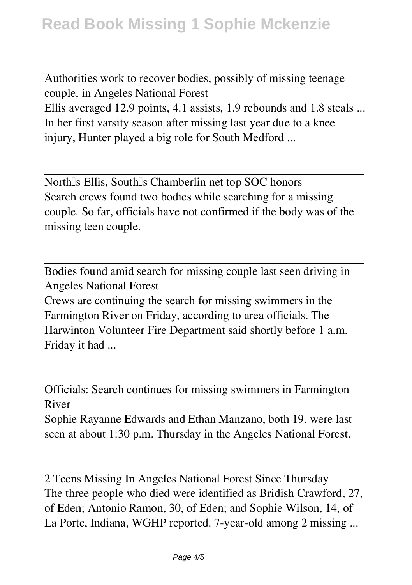Authorities work to recover bodies, possibly of missing teenage couple, in Angeles National Forest Ellis averaged 12.9 points, 4.1 assists, 1.9 rebounds and 1.8 steals ... In her first varsity season after missing last year due to a knee injury, Hunter played a big role for South Medford ...

North's Ellis, South's Chamberlin net top SOC honors Search crews found two bodies while searching for a missing couple. So far, officials have not confirmed if the body was of the missing teen couple.

Bodies found amid search for missing couple last seen driving in Angeles National Forest

Crews are continuing the search for missing swimmers in the Farmington River on Friday, according to area officials. The Harwinton Volunteer Fire Department said shortly before 1 a.m. Friday it had ...

Officials: Search continues for missing swimmers in Farmington River

Sophie Rayanne Edwards and Ethan Manzano, both 19, were last seen at about 1:30 p.m. Thursday in the Angeles National Forest.

2 Teens Missing In Angeles National Forest Since Thursday The three people who died were identified as Bridish Crawford, 27, of Eden; Antonio Ramon, 30, of Eden; and Sophie Wilson, 14, of La Porte, Indiana, WGHP reported. 7-year-old among 2 missing ...